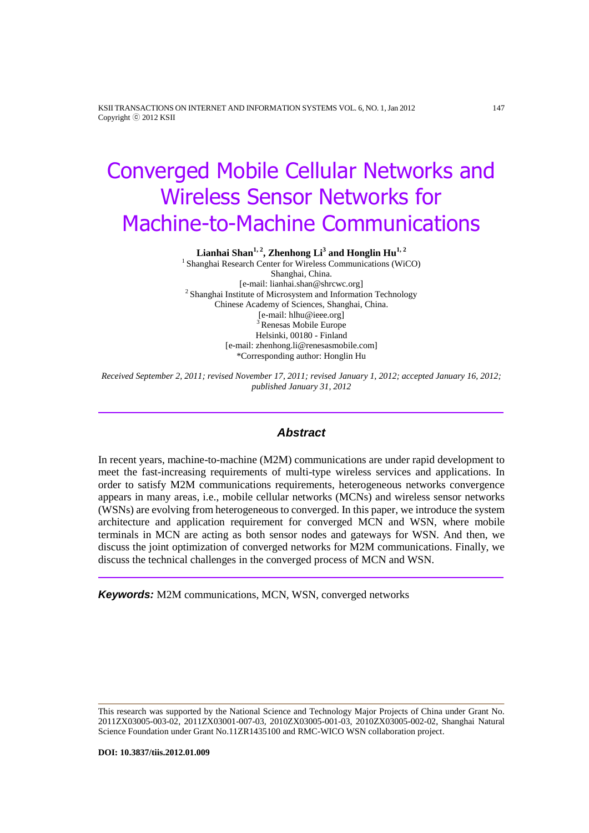KSII TRANSACTIONS ON INTERNET AND INFORMATION SYSTEMS VOL. 6, NO. 1, Jan 2012 147 Copyright ⓒ 2012 KSII

# Converged Mobile Cellular Networks and Wireless Sensor Networks for Machine-to-Machine Communications

**Lianhai Shan1, 2 , Zhenhong Li<sup>3</sup> and Honglin Hu1, 2**

<sup>1</sup> Shanghai Research Center for Wireless Communications (WiCO) Shanghai, China. [e-mail: lianhai.shan@shrcwc.org] <sup>2</sup> Shanghai Institute of Microsystem and Information Technology Chinese Academy of Sciences, Shanghai, China. [e-mail: hlhu@ieee.org] <sup>3</sup> Renesas Mobile Europe Helsinki, 00180 - Finland [e-mail: zhenhong.li@renesasmobile.com] \*Corresponding author: Honglin Hu

*Received September 2, 2011; revised November 17, 2011; revised January 1, 2012; accepted January 16, 2012; published January 31, 2012*

## *Abstract*

In recent years, machine-to-machine (M2M) communications are under rapid development to meet the fast-increasing requirements of multi-type wireless services and applications. In order to satisfy M2M communications requirements, heterogeneous networks convergence appears in many areas, i.e., mobile cellular networks (MCNs) and wireless sensor networks (WSNs) are evolving from heterogeneous to converged. In this paper, we introduce the system architecture and application requirement for converged MCN and WSN, where mobile terminals in MCN are acting as both sensor nodes and gateways for WSN. And then, we discuss the joint optimization of converged networks for M2M communications. Finally, we discuss the technical challenges in the converged process of MCN and WSN.

*Keywords:* M2M communications, MCN, WSN, converged networks

This research was supported by the National Science and Technology Major Projects of China under Grant No. 2011ZX03005-003-02, 2011ZX03001-007-03, 2010ZX03005-001-03, 2010ZX03005-002-02, Shanghai Natural Science Foundation under Grant No.11ZR1435100 and RMC-WICO WSN collaboration project.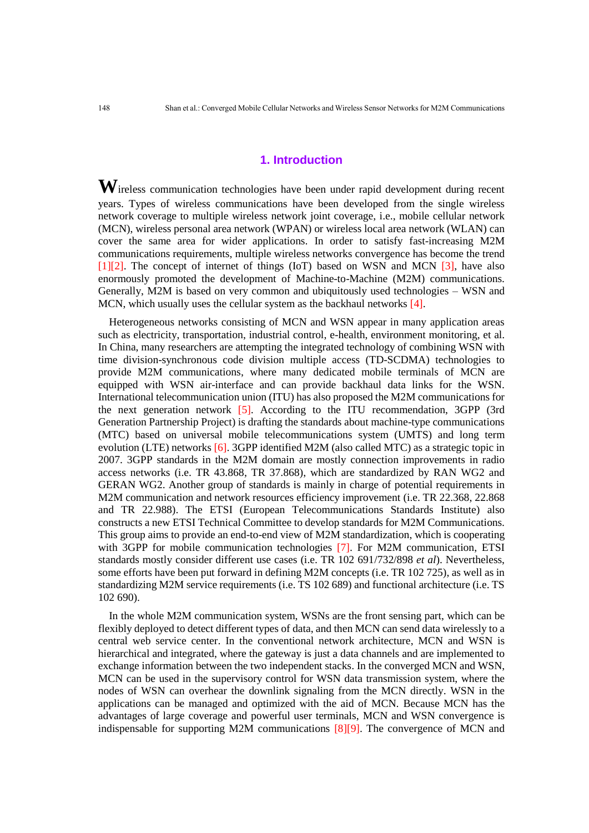## **1. Introduction**

**W**ireless communication technologies have been under rapid development during recent years. Types of wireless communications have been developed from the single wireless network coverage to multiple wireless network joint coverage, i.e., mobile cellular network (MCN), wireless personal area network (WPAN) or wireless local area network (WLAN) can cover the same area for wider applications. In order to satisfy fast-increasing M2M communications requirements, multiple wireless networks convergence has become the trend [1][2]. The concept of internet of things (IoT) based on WSN and MCN [3], have also enormously promoted the development of Machine-to-Machine (M2M) communications. Generally, M2M is based on very common and ubiquitously used technologies – WSN and MCN, which usually uses the cellular system as the backhaul networks [4].

Heterogeneous networks consisting of MCN and WSN appear in many application areas such as electricity, transportation, industrial control, e-health, environment monitoring, et al. In China, many researchers are attempting the integrated technology of combining WSN with time division-synchronous code division multiple access (TD-SCDMA) technologies to provide M2M communications, where many dedicated mobile terminals of MCN are equipped with WSN air-interface and can provide backhaul data links for the WSN. International telecommunication union (ITU) has also proposed the M2M communications for the next generation network [5]. According to the ITU recommendation, 3GPP (3rd Generation Partnership Project) is drafting the standards about machine-type communications (MTC) based on universal mobile telecommunications system (UMTS) and long term evolution (LTE) networks [6]. 3GPP identified M2M (also called MTC) as a strategic topic in 2007. 3GPP standards in the M2M domain are mostly connection improvements in radio access networks (i.e. TR 43.868, TR 37.868), which are standardized by RAN WG2 and GERAN WG2. Another group of standards is mainly in charge of potential requirements in M2M communication and network resources efficiency improvement (i.e. TR 22.368, 22.868 and TR 22.988). The ETSI (European Telecommunications Standards Institute) also constructs a new ETSI Technical Committee to develop standards for M2M Communications. This group aims to provide an end-to-end view of M2M standardization, which is cooperating with 3GPP for mobile communication technologies [7]. For M2M communication, ETSI standards mostly consider different use cases (i.e. TR 102 691/732/898 *et al*). Nevertheless, some efforts have been put forward in defining M2M concepts (i.e. TR 102 725), as well as in standardizing M2M service requirements (i.e. TS 102 689) and functional architecture (i.e. TS 102 690).

In the whole M2M communication system, WSNs are the front sensing part, which can be flexibly deployed to detect different types of data, and then MCN can send data wirelessly to a central web service center. In the conventional network architecture, MCN and WSN is hierarchical and integrated, where the gateway is just a data channels and are implemented to exchange information between the two independent stacks. In the converged MCN and WSN, MCN can be used in the supervisory control for WSN data transmission system, where the nodes of WSN can overhear the downlink signaling from the MCN directly. WSN in the applications can be managed and optimized with the aid of MCN. Because MCN has the advantages of large coverage and powerful user terminals, MCN and WSN convergence is indispensable for supporting M2M communications  $[8][9]$ . The convergence of MCN and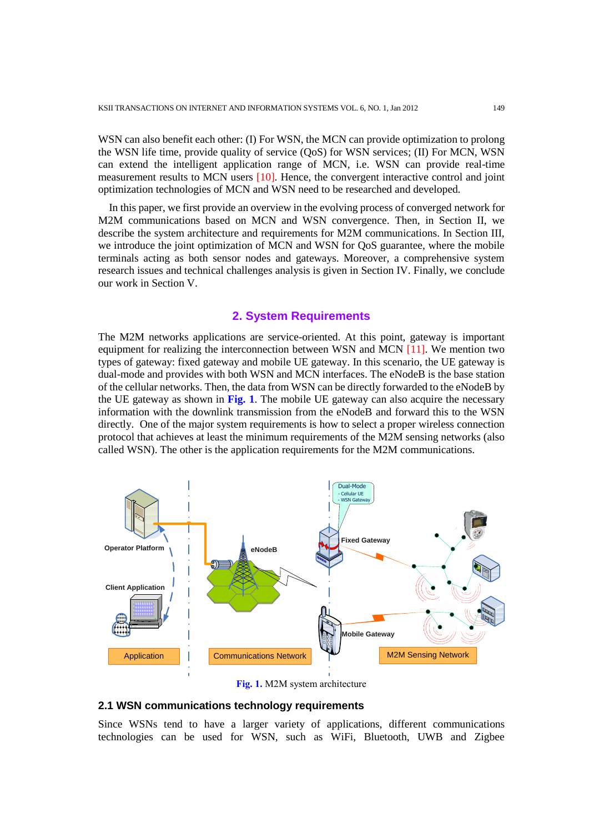WSN can also benefit each other: (I) For WSN, the MCN can provide optimization to prolong the WSN life time, provide quality of service (QoS) for WSN services; (II) For MCN, WSN can extend the intelligent application range of MCN, i.e. WSN can provide real-time measurement results to MCN users [10]. Hence, the convergent interactive control and joint optimization technologies of MCN and WSN need to be researched and developed.

In this paper, we first provide an overview in the evolving process of converged network for M2M communications based on MCN and WSN convergence. Then, in Section II, we describe the system architecture and requirements for M2M communications. In Section III, we introduce the joint optimization of MCN and WSN for QoS guarantee, where the mobile terminals acting as both sensor nodes and gateways. Moreover, a comprehensive system research issues and technical challenges analysis is given in Section IV. Finally, we conclude our work in Section V.

#### **2. System Requirements**

The M2M networks applications are service-oriented. At this point, gateway is important equipment for realizing the interconnection between WSN and MCN [11]. We mention two types of gateway: fixed gateway and mobile UE gateway. In this scenario, the UE gateway is dual-mode and provides with both WSN and MCN interfaces. The eNodeB is the base station of the cellular networks. Then, the data from WSN can be directly forwarded to the eNodeB by the UE gateway as shown in **Fig. 1**. The mobile UE gateway can also acquire the necessary information with the downlink transmission from the eNodeB and forward this to the WSN directly. One of the major system requirements is how to select a proper wireless connection protocol that achieves at least the minimum requirements of the M2M sensing networks (also called WSN). The other is the application requirements for the M2M communications.



**Fig. 1.** M2M system architecture

#### **2.1 WSN communications technology requirements**

Since WSNs tend to have a larger variety of applications, different communications technologies can be used for WSN, such as WiFi, Bluetooth, UWB and Zigbee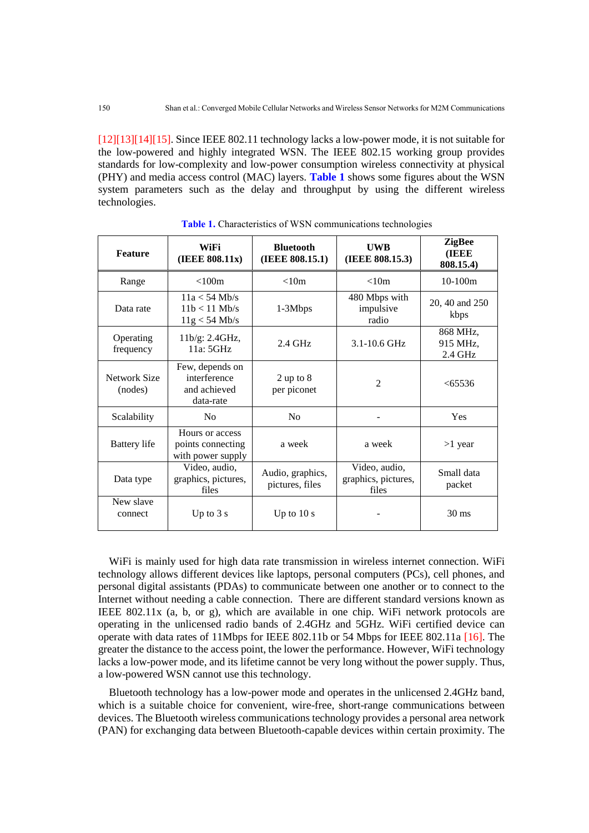[12][13][14][15]. Since IEEE 802.11 technology lacks a low-power mode, it is not suitable for the low-powered and highly integrated WSN. The IEEE 802.15 working group provides standards for low-complexity and low-power consumption wireless connectivity at physical (PHY) and media access control (MAC) layers. **Table 1** shows some figures about the WSN system parameters such as the delay and throughput by using the different wireless technologies.

| <b>Feature</b>          | WiFi<br>(IEEE 808.11x)                                       | <b>Bluetooth</b><br>(IEEE 808.15.1) | <b>UWB</b><br>(IEEE 808.15.3)                 | <b>ZigBee</b><br>(IEEE<br>808.15.4) |
|-------------------------|--------------------------------------------------------------|-------------------------------------|-----------------------------------------------|-------------------------------------|
| Range                   | < 100m                                                       | < 10m                               | < 10m                                         | $10-100m$                           |
| Data rate               | $11a < 54$ Mb/s<br>$11b < 11$ Mb/s<br>$11g < 54$ Mb/s        | $1-3Mbps$                           | 480 Mbps with<br>impulsive<br>radio           | 20, 40 and 250<br>kbps              |
| Operating<br>frequency  | 11b/g: 2.4GHz,<br>11a:5GHz                                   | $2.4$ GHz                           | 3.1-10.6 GHz                                  | 868 MHz,<br>915 MHz,<br>2.4 GHz     |
| Network Size<br>(nodes) | Few, depends on<br>interference<br>and achieved<br>data-rate | $2$ up to $8$<br>per piconet        | $\overline{2}$                                | < 65536                             |
| Scalability             | N <sub>o</sub>                                               | N <sub>0</sub>                      |                                               | Yes                                 |
| <b>Battery</b> life     | Hours or access<br>points connecting<br>with power supply    | a week                              | a week                                        | $>1$ year                           |
| Data type               | Video, audio,<br>graphics, pictures,<br>files                | Audio, graphics,<br>pictures, files | Video, audio,<br>graphics, pictures,<br>files | Small data<br>packet                |
| New slave<br>connect    | Up to $3s$                                                   | Up to $10 s$                        |                                               | $30 \text{ ms}$                     |

**Table 1.** Characteristics of WSN communications technologies

WiFi is mainly used for high data rate transmission in wireless internet connection. WiFi technology allows different devices like laptops, personal computers (PCs), cell phones, and personal digital assistants (PDAs) to communicate between one another or to connect to the Internet without needing a cable connection. There are different standard versions known as IEEE 802.11x (a, b, or g), which are available in one chip. WiFi network protocols are operating in the unlicensed radio bands of 2.4GHz and 5GHz. WiFi certified device can operate with data rates of 11Mbps for IEEE 802.11b or 54 Mbps for IEEE 802.11a [16]. The greater the distance to the access point, the lower the performance. However, WiFi technology lacks a low-power mode, and its lifetime cannot be very long without the power supply. Thus, a low-powered WSN cannot use this technology.

Bluetooth technology has a low-power mode and operates in the unlicensed 2.4GHz band, which is a suitable choice for convenient, wire-free, short-range communications between devices. The Bluetooth wireless communications technology provides a personal area network (PAN) for exchanging data between Bluetooth-capable devices within certain proximity. The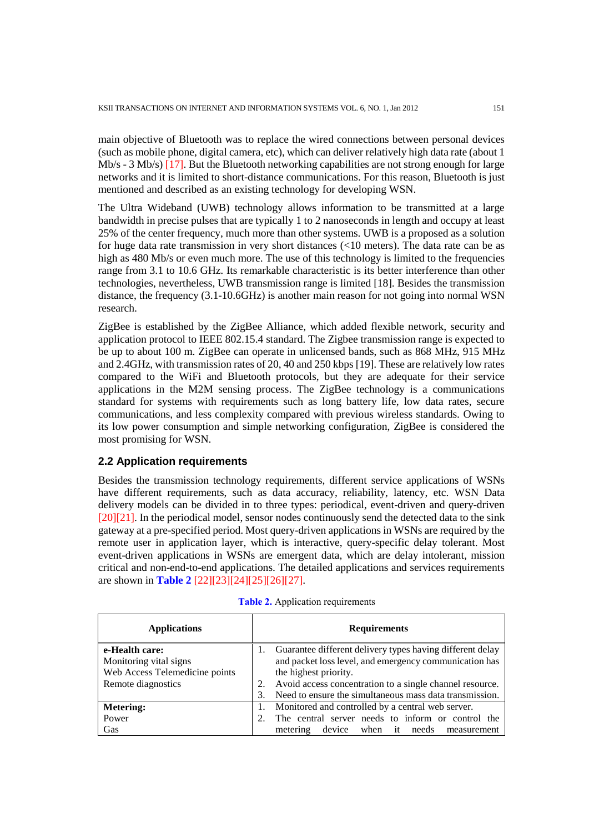main objective of Bluetooth was to replace the wired connections between personal devices (such as mobile phone, digital camera, etc), which can deliver relatively high data rate (about 1 Mb/s - 3 Mb/s) [17]. But the Bluetooth networking capabilities are not strong enough for large networks and it is limited to short-distance communications. For this reason, Bluetooth is just mentioned and described as an existing technology for developing WSN.

The Ultra Wideband (UWB) technology allows information to be transmitted at a large bandwidth in precise pulses that are typically 1 to 2 nanoseconds in length and occupy at least 25% of the center frequency, much more than other systems. UWB is a proposed as a solution for huge data rate transmission in very short distances (<10 meters). The data rate can be as high as 480 Mb/s or even much more. The use of this technology is limited to the frequencies range from 3.1 to 10.6 GHz. Its remarkable characteristic is its better interference than other technologies, nevertheless, UWB transmission range is limited [18]. Besides the transmission distance, the frequency (3.1-10.6GHz) is another main reason for not going into normal WSN research.

ZigBee is established by the ZigBee Alliance, which added flexible network, security and application protocol to IEEE 802.15.4 standard. The Zigbee transmission range is expected to be up to about 100 m. ZigBee can operate in unlicensed bands, such as 868 MHz, 915 MHz and 2.4GHz, with transmission rates of 20, 40 and 250 kbps [19]. These are relatively low rates compared to the WiFi and Bluetooth protocols, but they are adequate for their service applications in the M2M sensing process. The ZigBee technology is a communications standard for systems with requirements such as long battery life, low data rates, secure communications, and less complexity compared with previous wireless standards. Owing to its low power consumption and simple networking configuration, ZigBee is considered the most promising for WSN.

### **2.2 Application requirements**

Besides the transmission technology requirements, different service applications of WSNs have different requirements, such as data accuracy, reliability, latency, etc. WSN Data delivery models can be divided in to three types: periodical, event-driven and query-driven [20][21]. In the periodical model, sensor nodes continuously send the detected data to the sink gateway at a pre-specified period. Most query-driven applications in WSNs are required by the remote user in application layer, which is interactive, query-specific delay tolerant. Most event-driven applications in WSNs are emergent data, which are delay intolerant, mission critical and non-end-to-end applications. The detailed applications and services requirements are shown in **Table 2** [22][23][24][25][26][27].

| <b>Applications</b>            |    | <b>Requirements</b>                                       |  |  |
|--------------------------------|----|-----------------------------------------------------------|--|--|
| e-Health care:                 |    | Guarantee different delivery types having different delay |  |  |
| Monitoring vital signs         |    | and packet loss level, and emergency communication has    |  |  |
| Web Access Telemedicine points |    | the highest priority.                                     |  |  |
| Remote diagnostics             |    | Avoid access concentration to a single channel resource.  |  |  |
|                                | 3. | Need to ensure the simultaneous mass data transmission.   |  |  |
| <b>Metering:</b>               |    | Monitored and controlled by a central web server.         |  |  |
| Power                          |    | The central server needs to inform or control the         |  |  |
| Gas                            |    | when it<br>device<br>metering<br>needs<br>measurement     |  |  |

|  | <b>Table 2.</b> Application requirements |
|--|------------------------------------------|
|  |                                          |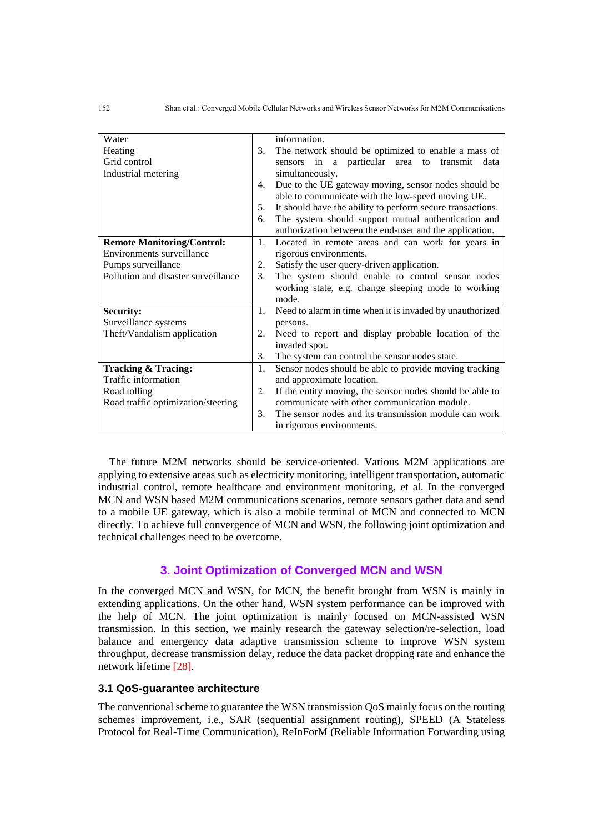| Water                               |    | information.                                               |
|-------------------------------------|----|------------------------------------------------------------|
| Heating                             | 3. | The network should be optimized to enable a mass of        |
| Grid control                        |    | sensors in a particular area to transmit<br>data           |
| Industrial metering                 |    | simultaneously.                                            |
|                                     | 4. | Due to the UE gateway moving, sensor nodes should be       |
|                                     |    | able to communicate with the low-speed moving UE.          |
|                                     | 5. | It should have the ability to perform secure transactions. |
|                                     | 6. | The system should support mutual authentication and        |
|                                     |    | authorization between the end-user and the application.    |
| <b>Remote Monitoring/Control:</b>   | 1. | Located in remote areas and can work for years in          |
| Environments surveillance           |    | rigorous environments.                                     |
| Pumps surveillance                  | 2. | Satisfy the user query-driven application.                 |
| Pollution and disaster surveillance | 3. | The system should enable to control sensor nodes           |
|                                     |    | working state, e.g. change sleeping mode to working        |
|                                     |    | mode.                                                      |
| <b>Security:</b>                    | 1. | Need to alarm in time when it is invaded by unauthorized   |
| Surveillance systems                |    | persons.                                                   |
| Theft/Vandalism application         | 2. | Need to report and display probable location of the        |
|                                     |    | invaded spot.                                              |
|                                     | 3. | The system can control the sensor nodes state.             |
| Tracking & Tracing:                 | 1. | Sensor nodes should be able to provide moving tracking     |
| Traffic information                 |    | and approximate location.                                  |
| Road tolling                        | 2. | If the entity moving, the sensor nodes should be able to   |
| Road traffic optimization/steering  |    | communicate with other communication module.               |
|                                     | 3. | The sensor nodes and its transmission module can work      |
|                                     |    | in rigorous environments.                                  |

The future M2M networks should be service-oriented. Various M2M applications are applying to extensive areas such as electricity monitoring, intelligent transportation, automatic industrial control, remote healthcare and environment monitoring, et al. In the converged MCN and WSN based M2M communications scenarios, remote sensors gather data and send to a mobile UE gateway, which is also a mobile terminal of MCN and connected to MCN directly. To achieve full convergence of MCN and WSN, the following joint optimization and technical challenges need to be overcome.

## **3. Joint Optimization of Converged MCN and WSN**

In the converged MCN and WSN, for MCN, the benefit brought from WSN is mainly in extending applications. On the other hand, WSN system performance can be improved with the help of MCN. The joint optimization is mainly focused on MCN-assisted WSN transmission. In this section, we mainly research the gateway selection/re-selection, load balance and emergency data adaptive transmission scheme to improve WSN system throughput, decrease transmission delay, reduce the data packet dropping rate and enhance the network lifetime [28].

### **3.1 QoS-guarantee architecture**

The conventional scheme to guarantee the WSN transmission QoS mainly focus on the routing schemes improvement, i.e., SAR (sequential assignment routing), SPEED (A Stateless Protocol for Real-Time Communication), ReInForM (Reliable Information Forwarding using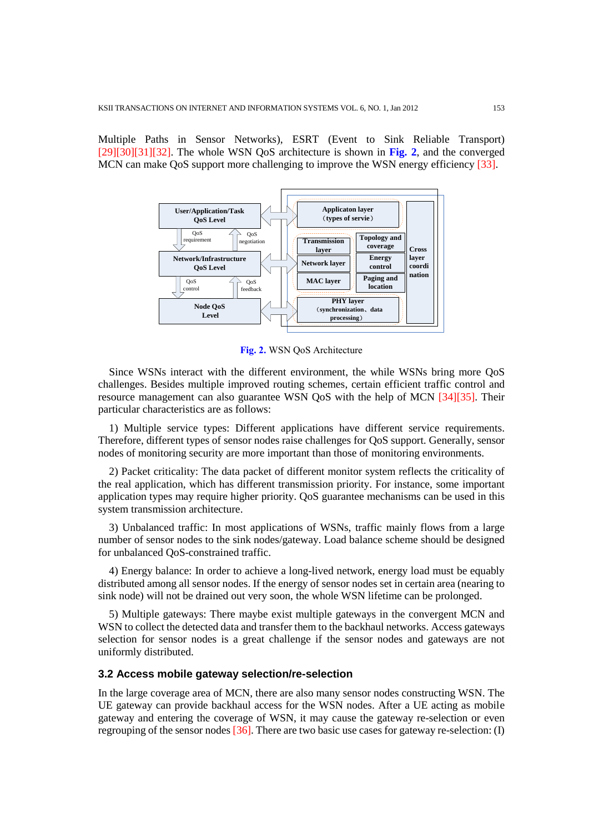Multiple Paths in Sensor Networks), ESRT (Event to Sink Reliable Transport) [29][30][31][32]. The whole WSN QoS architecture is shown in **Fig. 2**, and the converged MCN can make QoS support more challenging to improve the WSN energy efficiency [33].



**Fig. 2.** WSN QoS Architecture

Since WSNs interact with the different environment, the while WSNs bring more QoS challenges. Besides multiple improved routing schemes, certain efficient traffic control and resource management can also guarantee WSN QoS with the help of MCN [34][35]. Their particular characteristics are as follows:

1) Multiple service types: Different applications have different service requirements. Therefore, different types of sensor nodes raise challenges for QoS support. Generally, sensor nodes of monitoring security are more important than those of monitoring environments.

2) Packet criticality: The data packet of different monitor system reflects the criticality of the real application, which has different transmission priority. For instance, some important application types may require higher priority. QoS guarantee mechanisms can be used in this system transmission architecture.

3) Unbalanced traffic: In most applications of WSNs, traffic mainly flows from a large number of sensor nodes to the sink nodes/gateway. Load balance scheme should be designed for unbalanced QoS-constrained traffic.

4) Energy balance: In order to achieve a long-lived network, energy load must be equably distributed among all sensor nodes. If the energy of sensor nodes set in certain area (nearing to sink node) will not be drained out very soon, the whole WSN lifetime can be prolonged.

5) Multiple gateways: There maybe exist multiple gateways in the convergent MCN and WSN to collect the detected data and transfer them to the backhaul networks. Access gateways selection for sensor nodes is a great challenge if the sensor nodes and gateways are not uniformly distributed.

#### **3.2 Access mobile gateway selection/re-selection**

In the large coverage area of MCN, there are also many sensor nodes constructing WSN. The UE gateway can provide backhaul access for the WSN nodes. After a UE acting as mobile gateway and entering the coverage of WSN, it may cause the gateway re-selection or even regrouping of the sensor nodes [36]. There are two basic use cases for gateway re-selection: (I)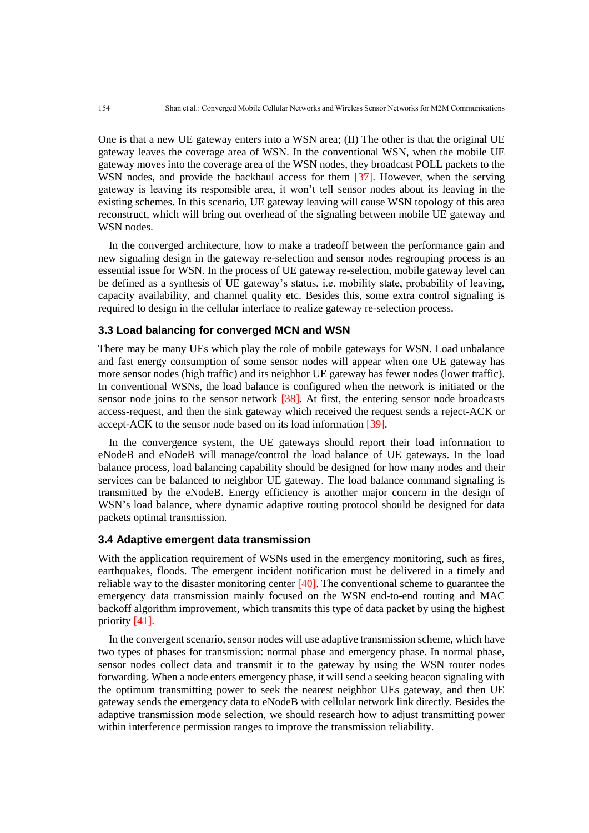One is that a new UE gateway enters into a WSN area; (II) The other is that the original UE gateway leaves the coverage area of WSN. In the conventional WSN, when the mobile UE gateway moves into the coverage area of the WSN nodes, they broadcast POLL packets to the WSN nodes, and provide the backhaul access for them [37]. However, when the serving gateway is leaving its responsible area, it won't tell sensor nodes about its leaving in the existing schemes. In this scenario, UE gateway leaving will cause WSN topology of this area reconstruct, which will bring out overhead of the signaling between mobile UE gateway and WSN nodes.

In the converged architecture, how to make a tradeoff between the performance gain and new signaling design in the gateway re-selection and sensor nodes regrouping process is an essential issue for WSN. In the process of UE gateway re-selection, mobile gateway level can be defined as a synthesis of UE gateway's status, i.e. mobility state, probability of leaving, capacity availability, and channel quality etc. Besides this, some extra control signaling is required to design in the cellular interface to realize gateway re-selection process.

## **3.3 Load balancing for converged MCN and WSN**

There may be many UEs which play the role of mobile gateways for WSN. Load unbalance and fast energy consumption of some sensor nodes will appear when one UE gateway has more sensor nodes (high traffic) and its neighbor UE gateway has fewer nodes (lower traffic). In conventional WSNs, the load balance is configured when the network is initiated or the sensor node joins to the sensor network [38]. At first, the entering sensor node broadcasts access-request, and then the sink gateway which received the request sends a reject-ACK or accept-ACK to the sensor node based on its load information [39].

In the convergence system, the UE gateways should report their load information to eNodeB and eNodeB will manage/control the load balance of UE gateways. In the load balance process, load balancing capability should be designed for how many nodes and their services can be balanced to neighbor UE gateway. The load balance command signaling is transmitted by the eNodeB. Energy efficiency is another major concern in the design of WSN's load balance, where dynamic adaptive routing protocol should be designed for data packets optimal transmission.

#### **3.4 Adaptive emergent data transmission**

With the application requirement of WSNs used in the emergency monitoring, such as fires, earthquakes, floods. The emergent incident notification must be delivered in a timely and reliable way to the disaster monitoring center  $[40]$ . The conventional scheme to guarantee the emergency data transmission mainly focused on the WSN end-to-end routing and MAC backoff algorithm improvement, which transmits this type of data packet by using the highest priority [41].

In the convergent scenario, sensor nodes will use adaptive transmission scheme, which have two types of phases for transmission: normal phase and emergency phase. In normal phase, sensor nodes collect data and transmit it to the gateway by using the WSN router nodes forwarding. When a node enters emergency phase, it will send a seeking beacon signaling with the optimum transmitting power to seek the nearest neighbor UEs gateway, and then UE gateway sends the emergency data to eNodeB with cellular network link directly. Besides the adaptive transmission mode selection, we should research how to adjust transmitting power within interference permission ranges to improve the transmission reliability.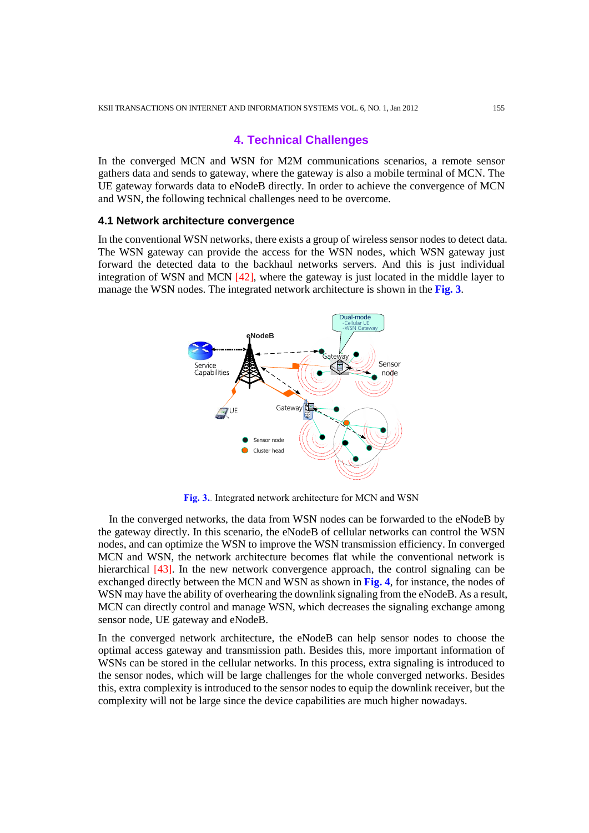## **4. Technical Challenges**

In the converged MCN and WSN for M2M communications scenarios, a remote sensor gathers data and sends to gateway, where the gateway is also a mobile terminal of MCN. The UE gateway forwards data to eNodeB directly. In order to achieve the convergence of MCN and WSN, the following technical challenges need to be overcome.

#### **4.1 Network architecture convergence**

In the conventional WSN networks, there exists a group of wireless sensor nodes to detect data. The WSN gateway can provide the access for the WSN nodes, which WSN gateway just forward the detected data to the backhaul networks servers. And this is just individual integration of WSN and MCN [42], where the gateway is just located in the middle layer to manage the WSN nodes. The integrated network architecture is shown in the **Fig. 3**.



**Fig. 3.**. Integrated network architecture for MCN and WSN

In the converged networks, the data from WSN nodes can be forwarded to the eNodeB by the gateway directly. In this scenario, the eNodeB of cellular networks can control the WSN nodes, and can optimize the WSN to improve the WSN transmission efficiency. In converged MCN and WSN, the network architecture becomes flat while the conventional network is hierarchical [43]. In the new network convergence approach, the control signaling can be exchanged directly between the MCN and WSN as shown in **Fig. 4**, for instance, the nodes of WSN may have the ability of overhearing the downlink signaling from the eNodeB. As a result, MCN can directly control and manage WSN, which decreases the signaling exchange among sensor node, UE gateway and eNodeB.

In the converged network architecture, the eNodeB can help sensor nodes to choose the optimal access gateway and transmission path. Besides this, more important information of WSNs can be stored in the cellular networks. In this process, extra signaling is introduced to the sensor nodes, which will be large challenges for the whole converged networks. Besides this, extra complexity is introduced to the sensor nodes to equip the downlink receiver, but the complexity will not be large since the device capabilities are much higher nowadays.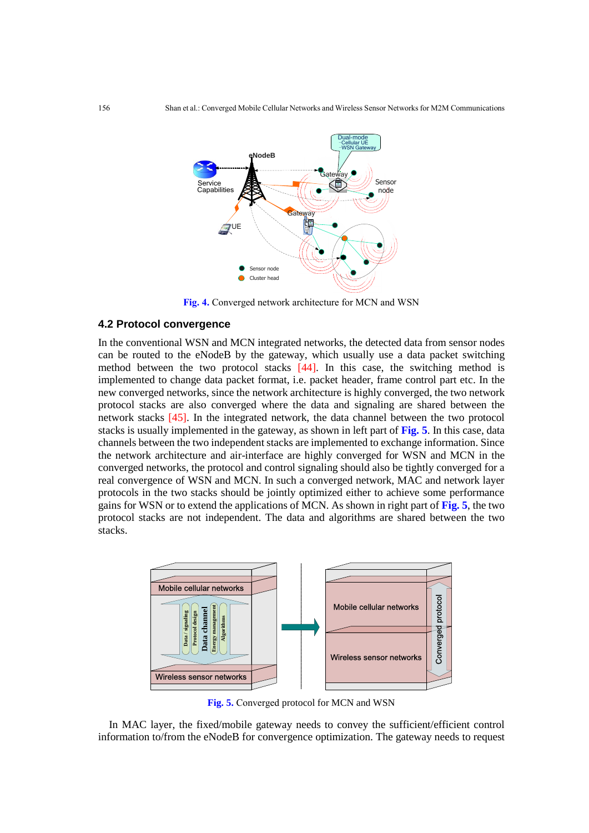

**Fig. 4.** Converged network architecture for MCN and WSN

#### **4.2 Protocol convergence**

In the conventional WSN and MCN integrated networks, the detected data from sensor nodes can be routed to the eNodeB by the gateway, which usually use a data packet switching method between the two protocol stacks [44]. In this case, the switching method is implemented to change data packet format, i.e. packet header, frame control part etc. In the new converged networks, since the network architecture is highly converged, the two network protocol stacks are also converged where the data and signaling are shared between the network stacks [45]. In the integrated network, the data channel between the two protocol stacks is usually implemented in the gateway, as shown in left part of **Fig. 5**. In this case, data channels between the two independent stacks are implemented to exchange information. Since the network architecture and air-interface are highly converged for WSN and MCN in the converged networks, the protocol and control signaling should also be tightly converged for a real convergence of WSN and MCN. In such a converged network, MAC and network layer protocols in the two stacks should be jointly optimized either to achieve some performance gains for WSN or to extend the applications of MCN. As shown in right part of **Fig. 5**, the two protocol stacks are not independent. The data and algorithms are shared between the two stacks.



**Fig. 5.** Converged protocol for MCN and WSN

In MAC layer, the fixed/mobile gateway needs to convey the sufficient/efficient control information to/from the eNodeB for convergence optimization. The gateway needs to request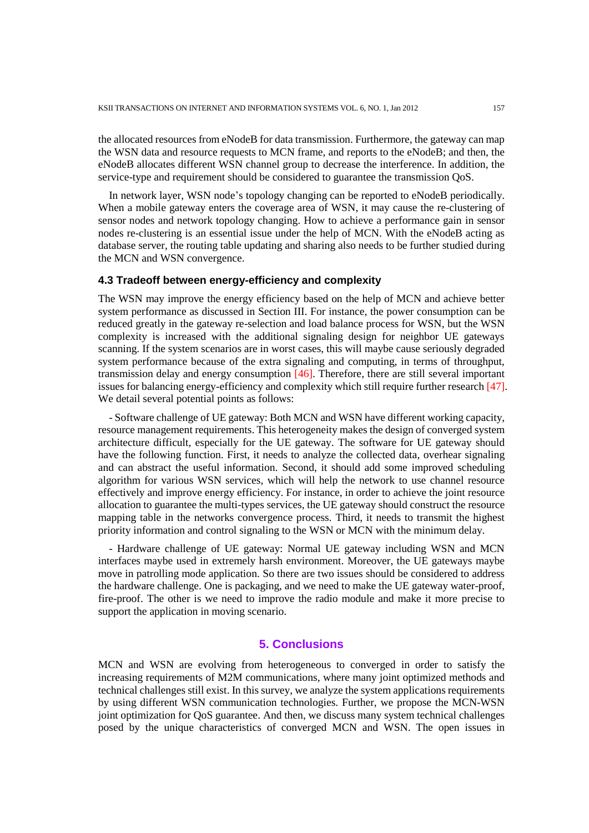the allocated resources from eNodeB for data transmission. Furthermore, the gateway can map the WSN data and resource requests to MCN frame, and reports to the eNodeB; and then, the eNodeB allocates different WSN channel group to decrease the interference. In addition, the service-type and requirement should be considered to guarantee the transmission QoS.

In network layer, WSN node's topology changing can be reported to eNodeB periodically. When a mobile gateway enters the coverage area of WSN, it may cause the re-clustering of sensor nodes and network topology changing. How to achieve a performance gain in sensor nodes re-clustering is an essential issue under the help of MCN. With the eNodeB acting as database server, the routing table updating and sharing also needs to be further studied during the MCN and WSN convergence.

## **4.3 Tradeoff between energy-efficiency and complexity**

The WSN may improve the energy efficiency based on the help of MCN and achieve better system performance as discussed in Section III. For instance, the power consumption can be reduced greatly in the gateway re-selection and load balance process for WSN, but the WSN complexity is increased with the additional signaling design for neighbor UE gateways scanning. If the system scenarios are in worst cases, this will maybe cause seriously degraded system performance because of the extra signaling and computing, in terms of throughput, transmission delay and energy consumption [46]. Therefore, there are still several important issues for balancing energy-efficiency and complexity which still require further research [47]. We detail several potential points as follows:

- Software challenge of UE gateway: Both MCN and WSN have different working capacity, resource management requirements. This heterogeneity makes the design of converged system architecture difficult, especially for the UE gateway. The software for UE gateway should have the following function. First, it needs to analyze the collected data, overhear signaling and can abstract the useful information. Second, it should add some improved scheduling algorithm for various WSN services, which will help the network to use channel resource effectively and improve energy efficiency. For instance, in order to achieve the joint resource allocation to guarantee the multi-types services, the UE gateway should construct the resource mapping table in the networks convergence process. Third, it needs to transmit the highest priority information and control signaling to the WSN or MCN with the minimum delay.

- Hardware challenge of UE gateway: Normal UE gateway including WSN and MCN interfaces maybe used in extremely harsh environment. Moreover, the UE gateways maybe move in patrolling mode application. So there are two issues should be considered to address the hardware challenge. One is packaging, and we need to make the UE gateway water-proof, fire-proof. The other is we need to improve the radio module and make it more precise to support the application in moving scenario.

## **5. Conclusions**

MCN and WSN are evolving from heterogeneous to converged in order to satisfy the increasing requirements of M2M communications, where many joint optimized methods and technical challenges still exist. In this survey, we analyze the system applications requirements by using different WSN communication technologies. Further, we propose the MCN-WSN joint optimization for QoS guarantee. And then, we discuss many system technical challenges posed by the unique characteristics of converged MCN and WSN. The open issues in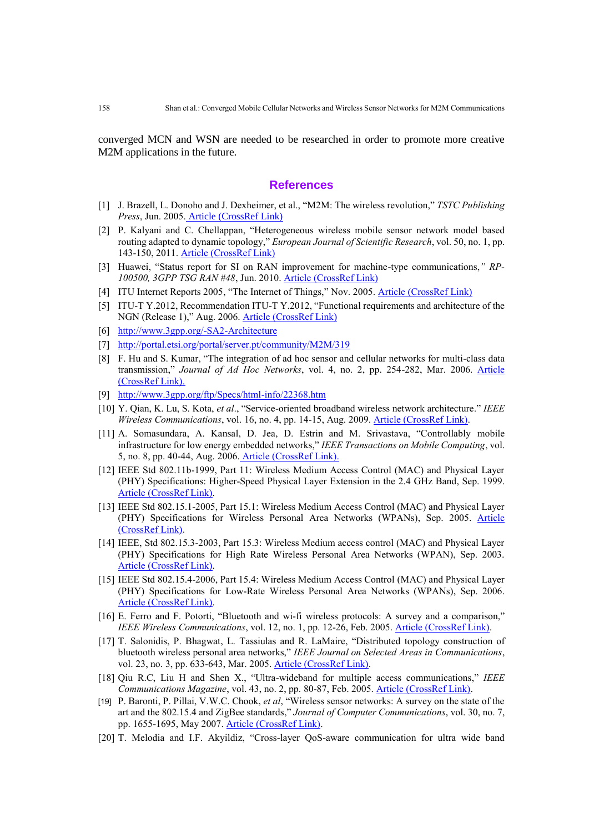converged MCN and WSN are needed to be researched in order to promote more creative M2M applications in the future.

#### **References**

- [1] J. Brazell, L. Donoho and J. Dexheimer, et al., "M2M: The wireless revolution," *TSTC Publishing Press*, Jun. 2005. [Article \(CrossRef Link\)](http://www.waco.tstc.edu/publishing_TSTC/forms/m2m.pdf)
- [2] P. Kalyani and C. Chellappan, "Heterogeneous wireless mobile sensor network model based routing adapted to dynamic topology," *European Journal of Scientific Research*, vol. 50, no. 1, pp. 143-150, 2011. [Article \(CrossRef Link\)](http://www.eurojournals.com/EJSR_50_1_15.pdf)
- [3] Huawei, "Status report for SI on RAN improvement for machine-type communications,*" RP-100500, 3GPP TSG RAN #48*, Jun. 2010. [Article \(CrossRef Link\)](http://www.3gpp.org/ftp/specs/html-info/status-report.htm)
- [4] ITU Internet Reports 2005, "The Internet of Things," Nov. 2005. [Article \(CrossRef Link\)](http://www.itu.int/osg/spu/publications/internetofthings)
- [5] ITU-T Y.2012, Recommendation ITU-T Y.2012, "Functional requirements and architecture of the NGN (Release 1)," Aug. 2006. [Article \(CrossRef Link\)](http://www.catr.cn/radar/itut/201007/P020100707503637798045.pdf)
- [6] <http://www.3gpp.org/-SA2-Architecture>
- [7] <http://portal.etsi.org/portal/server.pt/community/M2M/319>
- [8] F. Hu and S. Kumar, "The integration of ad hoc sensor and cellular networks for multi-class data transmission," *Journal of Ad Hoc Networks*, vol. 4, no. 2, pp. 254-282, Mar. 2006. [Article](http://dx.doi.org/10.1016/j.adhoc.2004.08.014)  [\(CrossRef Link\).](http://dx.doi.org/10.1016/j.adhoc.2004.08.014)
- [9] <http://www.3gpp.org/ftp/Specs/html-info/22368.htm>
- [10] Y. Qian, K. Lu, S. Kota, *et al*., "Service-oriented broadband wireless network architecture." *IEEE Wireless Communications*, vol. 16, no. 4, pp. 14-15, Aug. 2009. [Article \(CrossRef Link\).](http://dx.doi.org/10.1109/MWC.2009.5281250)
- [11] A. Somasundara, A. Kansal, D. Jea, D. Estrin and M. Srivastava, "Controllably mobile infrastructure for low energy embedded networks," *IEEE Transactions on Mobile Computing*, vol. 5, no. 8, pp. 40-44, Aug. 2006. [Article \(CrossRef Link\).](http://dx.doi.org/10.1109/TMC.2006.109)
- [12] IEEE Std 802.11b-1999, Part 11: Wireless Medium Access Control (MAC) and Physical Layer (PHY) Specifications: Higher-Speed Physical Layer Extension in the 2.4 GHz Band, Sep. 1999. [Article \(CrossRef Link\).](http://dx.doi.org/10.1109/IEEESTD.2001.93363)
- [13] IEEE Std 802.15.1-2005, Part 15.1: Wireless Medium Access Control (MAC) and Physical Layer (PHY) Specifications for Wireless Personal Area Networks (WPANs), Sep. 2005. [Article](http://dx.doi.org/10.1109/IEEESTD.2005.96290)  [\(CrossRef Link\).](http://dx.doi.org/10.1109/IEEESTD.2005.96290)
- [14] IEEE, Std 802.15.3-2003, Part 15.3: Wireless Medium access control (MAC) and Physical Layer (PHY) Specifications for High Rate Wireless Personal Area Networks (WPAN), Sep. 2003. [Article \(CrossRef Link\).](http://dx.doi.org/10.1109/IEEESTD.2003.94395)
- [15] IEEE Std 802.15.4-2006, Part 15.4: Wireless Medium Access Control (MAC) and Physical Layer (PHY) Specifications for Low-Rate Wireless Personal Area Networks (WPANs), Sep. 2006. [Article \(CrossRef Link\).](http://dx.doi.org/10.1109/IEEESTD.2006.232110)
- [16] E. Ferro and F. Potorti, "Bluetooth and wi-fi wireless protocols: A survey and a comparison," *IEEE Wireless Communications*, vol. 12, no. 1, pp. 12-26, Feb. 2005. [Article \(CrossRef Link\).](http://dx.doi.org/10.1109/MWC.2005.1404569)
- [17] T. Salonidis, P. Bhagwat, L. Tassiulas and R. LaMaire, "Distributed topology construction of bluetooth wireless personal area networks," *IEEE Journal on Selected Areas in Communications*, vol. 23, no. 3, pp. 633-643, Mar. 2005. [Article \(CrossRef Link\).](http://dx.doi.org/10.1109/JSAC.2004.842567)
- [18] Qiu R.C, Liu H and Shen X., "Ultra-wideband for multiple access communications," *IEEE Communications Magazine*, vol. 43, no. 2, pp. 80-87, Feb. 2005. [Article \(CrossRef Link\).](http://dx.doi.org/10.1109/MCOM.2005.1391505)
- [19] P. Baronti, P. Pillai, V.W.C. Chook, *et al*, "Wireless sensor networks: A survey on the state of the art and the 802.15.4 and ZigBee standards," *Journal of Computer Communications*, vol. 30, no. 7, pp. 1655-1695, May 2007. [Article \(CrossRef Link\).](http://dx.doi.org/10.1016/j.comcom.2006.12.020)
- [20] T. Melodia and I.F. Akyildiz, "Cross-layer QoS-aware communication for ultra wide band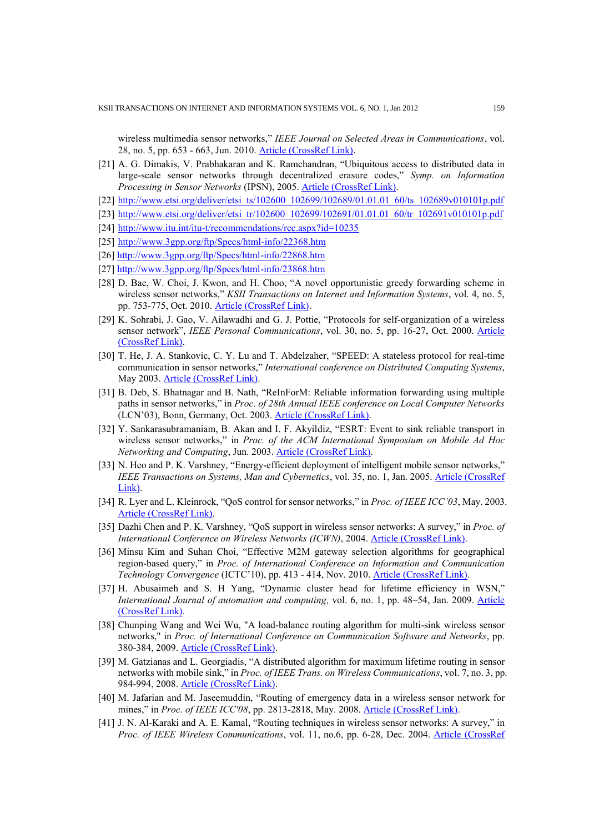wireless multimedia sensor networks," *IEEE Journal on Selected Areas in Communications*, vol. 28, no. 5, pp. 653 - 663, Jun. 2010. [Article \(CrossRef Link\).](http://dx.doi.org/10.1109/JSAC.2010.100604)

- [21] A. G. Dimakis, V. Prabhakaran and K. Ramchandran, "Ubiquitous access to distributed data in large-scale sensor networks through decentralized erasure codes," *Symp. on Information Processing in Sensor Networks* (IPSN), 2005. [Article \(CrossRef Link\).](http://dx.doi.org/10.1109/IPSN.2005.1440909)
- [22] [http://www.etsi.org/deliver/etsi\\_ts/102600\\_102699/102689/01.01.01\\_60/ts\\_102689v010101p.pdf](http://www.etsi.org/deliver/etsi_ts/102600_102699/102689/01.01.01_60/ts_102689v010101p.pdf)
- [23] [http://www.etsi.org/deliver/etsi\\_tr/102600\\_102699/102691/01.01.01\\_60/tr\\_102691v010101p.pdf](http://www.etsi.org/deliver/etsi_tr/102600_102699/102691/01.01.01_60/tr_102691v010101p.pdf)
- [24] <http://www.itu.int/itu-t/recommendations/rec.aspx?id=10235>
- [25] <http://www.3gpp.org/ftp/Specs/html-info/22368.htm>
- [26]<http://www.3gpp.org/ftp/Specs/html-info/22868.htm>
- [27]<http://www.3gpp.org/ftp/Specs/html-info/23868.htm>
- [28] D. Bae, W. Choi, J. Kwon, and H. Choo, "A novel opportunistic greedy forwarding scheme in wireless sensor networks," *KSII Transactions on Internet and Information Systems*, vol. 4, no. 5, pp. 753-775, Oct. 2010. [Article \(CrossRef Link\).](http://dx.doi.org/10.3837/tiis.2010.10.004)
- [29] K. Sohrabi, J. Gao, V. Ailawadhi and G. J. Pottie, "Protocols for self-organization of a wireless sensor network", *IEEE Personal Communications*, vol. 30, no. 5, pp. 16-27, Oct. 2000. [Article](http://dx.doi.org/10.1109/98.878532)  [\(CrossRef Link\).](http://dx.doi.org/10.1109/98.878532)
- [30] T. He, J. A. Stankovic, C. Y. Lu and T. Abdelzaher, "SPEED: A stateless protocol for real-time communication in sensor networks," *International conference on Distributed Computing Systems*, May 2003. [Article \(CrossRef Link\).](http://dx.doi.org/10.1109/ICDCS.2003.1203451)
- [31] B. Deb, S. Bhatnagar and B. Nath, "ReInForM: Reliable information forwarding using multiple paths in sensor networks," in *Proc. of 28th Annual IEEE conference on Local Computer Networks* (LCN'03), Bonn, Germany, Oct. 2003. [Article \(CrossRef Link\).](http://dx.doi.org/10.1109/LCN.2003.1243166)
- [32] Y. Sankarasubramaniam, B. Akan and I. F. Akyildiz, "ESRT: Event to sink reliable transport in wireless sensor networks," in *Proc. of the ACM International Symposium on Mobile Ad Hoc Networking and Computing*, Jun. 2003. [Article \(CrossRef Link\).](http://dx.doi.org/10.1145/778415.778437)
- [33] N. Heo and P. K. Varshney, "Energy-efficient deployment of intelligent mobile sensor networks," *IEEE Transactions on Systems, Man and Cybernetics*, vol. 35, no. 1, Jan. 2005[. Article \(CrossRef](http://dx.doi.org/10.1109/TSMCA.2004.838486)  Link)
- [34] R. Lyer and L. Kleinrock, "QoS control for sensor networks," in *Proc. of IEEE ICC'03*, May. 2003. [Article \(CrossRef Link\).](http://dx.doi.org/10.1109/ICC.2003.1204230)
- [35] Dazhi Chen and P. K. Varshney, "QoS support in wireless sensor networks: A survey," in *Proc. of International Conference on Wireless Networks (ICWN)*, 2004. [Article \(CrossRef Link\).](http://adams.kwangwoon.ac.kr/lecture2008_InternetProtocol/14.pdf)
- [36] Minsu Kim and Suhan Choi, "Effective M2M gateway selection algorithms for geographical region-based query," in *Proc. of International Conference on Information and Communication Technology Convergence* (ICTC'10), pp. 413 - 414, Nov. 2010. [Article \(CrossRef Link\).](http://dx.doi.org/10.1109/ICTC.2010.5674811)
- [37] H. Abusaimeh and S. H Yang, "Dynamic cluster head for lifetime efficiency in WSN," *International Journal of automation and computing,* vol. 6, no. 1, pp. 48–54, Jan. 2009. [Article](http://dx.doi.org/10.1007/s11633-009-0048-0)  [\(CrossRef Link\).](http://dx.doi.org/10.1007/s11633-009-0048-0)
- [38] Chunping Wang and Wei Wu, "A load-balance routing algorithm for multi-sink wireless sensor networks," in *Proc. of International Conference on Communication Software and Networks*, pp. 380-384, 2009. [Article \(CrossRef Link\).](http://dx.doi.org/10.1109/ICCSN.2009.148)
- [39] M. Gatzianas and L. Georgiadis, "A distributed algorithm for maximum lifetime routing in sensor networks with mobile sink," in *Proc. of IEEE Trans. on Wireless Communications*, vol. 7, no. 3, pp. 984-994, 2008. [Article \(CrossRef Link\).](http://dx.doi.org/10.1109/TWC.2008.060727)
- [40] M. Jafarian and M. Jaseemuddin, "Routing of emergency data in a wireless sensor network for mines," in *Proc. of IEEE ICC'08*, pp. 2813-2818, May. 2008. [Article \(CrossRef Link\).](http://dx.doi.org/10.1109/ICC.2008.530)
- [41] J. N. Al-Karaki and A. E. Kamal, "Routing techniques in wireless sensor networks: A survey," in *Proc. of IEEE Wireless Communications*, vol. 11, no.6, pp. 6-28, Dec. 2004. [Article \(CrossRef](http://dx.doi.org/10.1109/MWC.2004.1368893)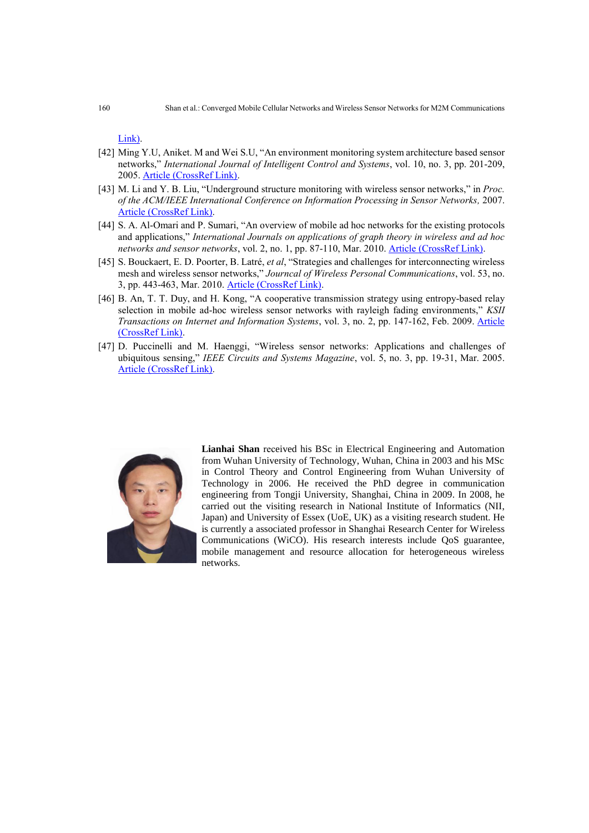Link).

- [42] Ming Y.U, Aniket. M and Wei S.U, "An environment monitoring system architecture based sensor networks," *International Journal of Intelligent Control and Systems*, vol. 10, no. 3, pp. 201-209, 2005. [Article \(CrossRef Link\).](http://www.asmemesa.org/IJICS/files/20/2-yu-201-209.pdf)
- [43] M. Li and Y. B. Liu, "Underground structure monitoring with wireless sensor networks," in *Proc. of the ACM/IEEE International Conference on Information Processing in Sensor Networks,* 2007. [Article \(CrossRef Link\).](http://dx.doi.org/10.1109/IPSN.2007.4379666)
- [44] S. A. Al-Omari and P. Sumari, "An overview of mobile ad hoc networks for the existing protocols and applications," *International Journals on applications of graph theory in wireless and ad hoc networks and sensor networks*, vol. 2, no. 1, pp. 87-110, Mar. 2010. [Article \(CrossRef Link\).](http://arxiv.org/abs/1003.3565)
- [45] S. Bouckaert, E. D. Poorter, B. [Latré,](http://www.springerlink.com/content/?Author=Ben%c3%b4it+Latr%c3%a9) *et al*, "Strategies and challenges for interconnecting wireless mesh and wireless sensor networks," *Journcal of [Wireless Personal Communications](http://www.springerlink.com/content/0929-6212/)*, vol. 53, no. 3, pp. 443-463, Mar. 2010. [Article \(CrossRef Link\).](http://dx.doi.org/10.1007/s11277-010-9957-z)
- [46] B. An, T. T. Duy, and H. Kong, "A cooperative transmission strategy using entropy-based relay selection in mobile ad-hoc wireless sensor networks with rayleigh fading environments," *KSII Transactions on Internet and Information Systems*, vol. 3, no. 2, pp. 147-162, Feb. 2009. [Article](http://dx.doi.org/10.3837/tiis.2009.02.002)  [\(CrossRef Link\).](http://dx.doi.org/10.3837/tiis.2009.02.002)
- [47] D. Puccinelli and M. Haenggi, "Wireless sensor networks: Applications and challenges of ubiquitous sensing," *IEEE Circuits and Systems Magazine*, vol. 5, no. 3, pp. 19-31, Mar. 2005. [Article \(CrossRef Link\).](http://dx.doi.org/10.1109/MCAS.2005.1507522)



**Lianhai Shan** received his BSc in Electrical Engineering and Automation from Wuhan University of Technology, Wuhan, China in 2003 and his MSc in Control Theory and Control Engineering from Wuhan University of Technology in 2006. He received the PhD degree in communication engineering from Tongji University, Shanghai, China in 2009. In 2008, he carried out the visiting research in National Institute of Informatics (NII, Japan) and University of Essex (UoE, UK) as a visiting research student. He is currently a associated professor in Shanghai Research Center for Wireless Communications (WiCO). His research interests include QoS guarantee, mobile management and resource allocation for heterogeneous wireless networks.